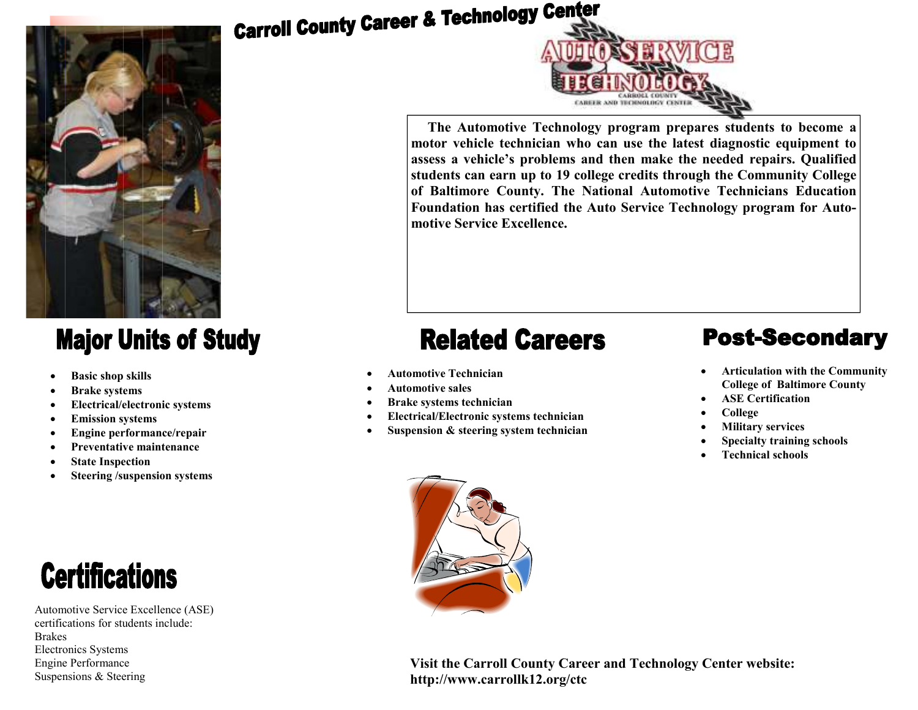### **Major Units of Study**

- **Basic shop skills**
- **Brake systems**
- **Electrical/electronic systems**
- **Emission systems**
- **Engine performance/repair**
- **Preventative maintenance**
- **State Inspection**
- **Steering /suspension systems**



Automotive Service Excellence (ASE) certifications for students include: Brakes Electronics Systems Engine Performance Suspensions & Steering

# **Carroll County Career & Technology Center**



**The Automotive Technology program prepares students to become a motor vehicle technician who can use the latest diagnostic equipment to assess a vehicle's problems and then make the needed repairs. Qualified students can earn up to 19 college credits through the Community College of Baltimore County. The National Automotive Technicians Education Foundation has certified the Auto Service Technology program for Automotive Service Excellence.** 

## **Related Careers**

- **Automotive Technician**
- **Automotive sales**
- **Brake systems technician**
- **Electrical/Electronic systems technician**
- **Suspension & steering system technician**

### **Post-Secondary**

- **Articulation with the Community College of Baltimore County**
- **ASE Certification**
- **College**
- **Military services**
- **Specialty training schools**
- **Technical schools**



**Visit the Carroll County Career and Technology Center website: http://www.carrollk12.org/ctc**